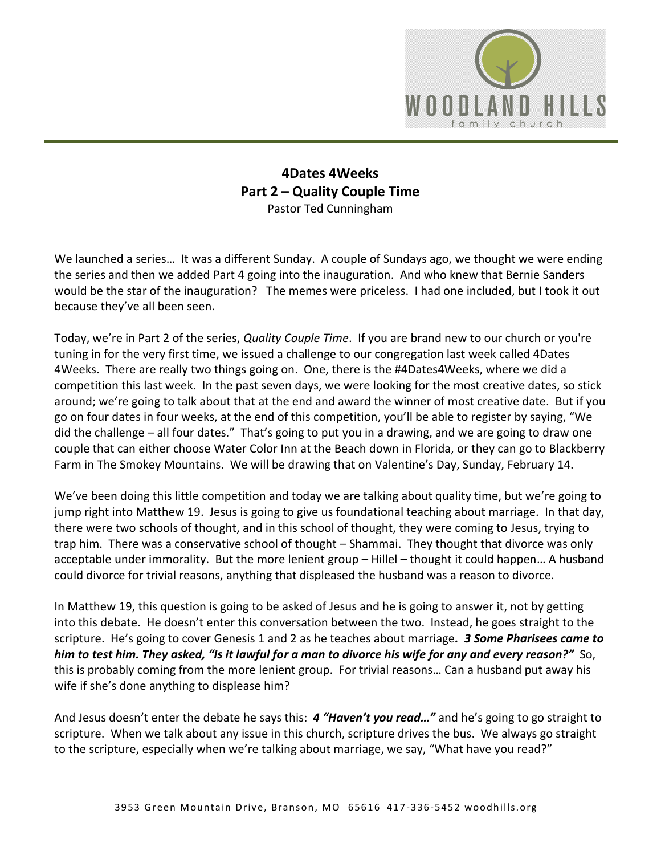

## **4Dates 4Weeks Part 2 – Quality Couple Time** Pastor Ted Cunningham

We launched a series... It was a different Sunday. A couple of Sundays ago, we thought we were ending the series and then we added Part 4 going into the inauguration. And who knew that Bernie Sanders would be the star of the inauguration? The memes were priceless. I had one included, but I took it out because they've all been seen.

Today, we're in Part 2 of the series, *Quality Couple Time*. If you are brand new to our church or you're tuning in for the very first time, we issued a challenge to our congregation last week called 4Dates 4Weeks. There are really two things going on. One, there is the #4Dates4Weeks, where we did a competition this last week. In the past seven days, we were looking for the most creative dates, so stick around; we're going to talk about that at the end and award the winner of most creative date. But if you go on four dates in four weeks, at the end of this competition, you'll be able to register by saying, "We did the challenge – all four dates." That's going to put you in a drawing, and we are going to draw one couple that can either choose Water Color Inn at the Beach down in Florida, or they can go to Blackberry Farm in The Smokey Mountains. We will be drawing that on Valentine's Day, Sunday, February 14.

We've been doing this little competition and today we are talking about quality time, but we're going to jump right into Matthew 19. Jesus is going to give us foundational teaching about marriage. In that day, there were two schools of thought, and in this school of thought, they were coming to Jesus, trying to trap him. There was a conservative school of thought – Shammai. They thought that divorce was only acceptable under immorality. But the more lenient group – Hillel – thought it could happen… A husband could divorce for trivial reasons, anything that displeased the husband was a reason to divorce.

In Matthew 19, this question is going to be asked of Jesus and he is going to answer it, not by getting into this debate. He doesn't enter this conversation between the two. Instead, he goes straight to the scripture. He's going to cover Genesis 1 and 2 as he teaches about marriage*. 3 Some Pharisees came to him to test him. They asked, "Is it lawful for a man to divorce his wife for any and every reason?"* So, this is probably coming from the more lenient group. For trivial reasons… Can a husband put away his wife if she's done anything to displease him?

And Jesus doesn't enter the debate he says this: *4 "Haven't you read…"* and he's going to go straight to scripture. When we talk about any issue in this church, scripture drives the bus. We always go straight to the scripture, especially when we're talking about marriage, we say, "What have you read?"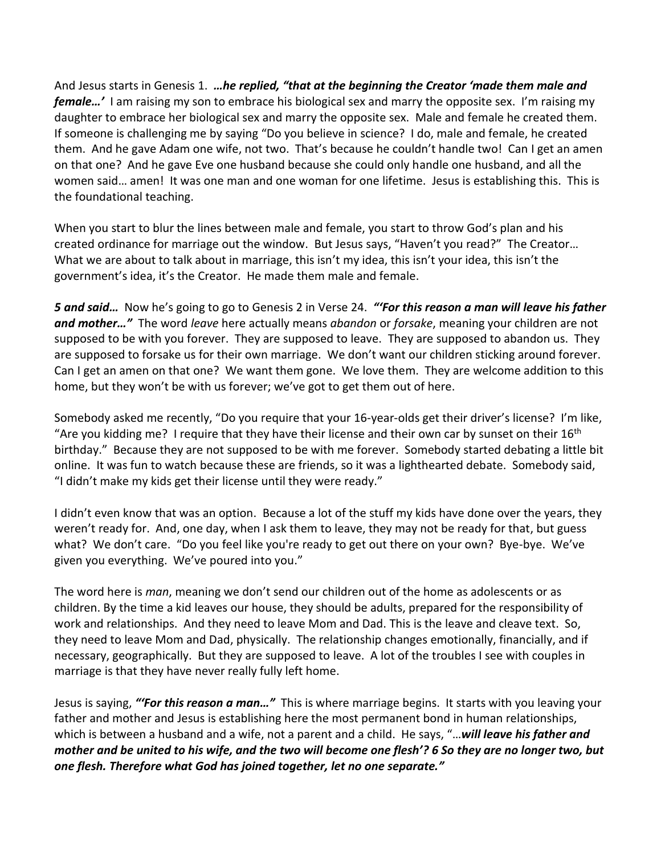And Jesus starts in Genesis 1. *…he replied, "that at the beginning the Creator 'made them male and female…'* I am raising my son to embrace his biological sex and marry the opposite sex. I'm raising my daughter to embrace her biological sex and marry the opposite sex. Male and female he created them. If someone is challenging me by saying "Do you believe in science? I do, male and female, he created them. And he gave Adam one wife, not two. That's because he couldn't handle two! Can I get an amen on that one? And he gave Eve one husband because she could only handle one husband, and all the women said… amen! It was one man and one woman for one lifetime. Jesus is establishing this. This is the foundational teaching.

When you start to blur the lines between male and female, you start to throw God's plan and his created ordinance for marriage out the window. But Jesus says, "Haven't you read?" The Creator… What we are about to talk about in marriage, this isn't my idea, this isn't your idea, this isn't the government's idea, it's the Creator. He made them male and female.

*5 and said…* Now he's going to go to Genesis 2 in Verse 24. *"'For this reason a man will leave his father and mother…"* The word *leave* here actually means *abandon* or *forsake*, meaning your children are not supposed to be with you forever. They are supposed to leave. They are supposed to abandon us. They are supposed to forsake us for their own marriage. We don't want our children sticking around forever. Can I get an amen on that one? We want them gone. We love them. They are welcome addition to this home, but they won't be with us forever; we've got to get them out of here.

Somebody asked me recently, "Do you require that your 16-year-olds get their driver's license? I'm like, "Are you kidding me? I require that they have their license and their own car by sunset on their  $16<sup>th</sup>$ birthday." Because they are not supposed to be with me forever. Somebody started debating a little bit online. It was fun to watch because these are friends, so it was a lighthearted debate. Somebody said, "I didn't make my kids get their license until they were ready."

I didn't even know that was an option. Because a lot of the stuff my kids have done over the years, they weren't ready for. And, one day, when I ask them to leave, they may not be ready for that, but guess what? We don't care. "Do you feel like you're ready to get out there on your own? Bye-bye. We've given you everything. We've poured into you."

The word here is *man*, meaning we don't send our children out of the home as adolescents or as children. By the time a kid leaves our house, they should be adults, prepared for the responsibility of work and relationships. And they need to leave Mom and Dad. This is the leave and cleave text. So, they need to leave Mom and Dad, physically. The relationship changes emotionally, financially, and if necessary, geographically. But they are supposed to leave. A lot of the troubles I see with couples in marriage is that they have never really fully left home.

Jesus is saying, *"'For this reason a man…"* This is where marriage begins. It starts with you leaving your father and mother and Jesus is establishing here the most permanent bond in human relationships, which is between a husband and a wife, not a parent and a child. He says, "…*will leave his father and mother and be united to his wife, and the two will become one flesh'? 6 So they are no longer two, but one flesh. Therefore what God has joined together, let no one separate."*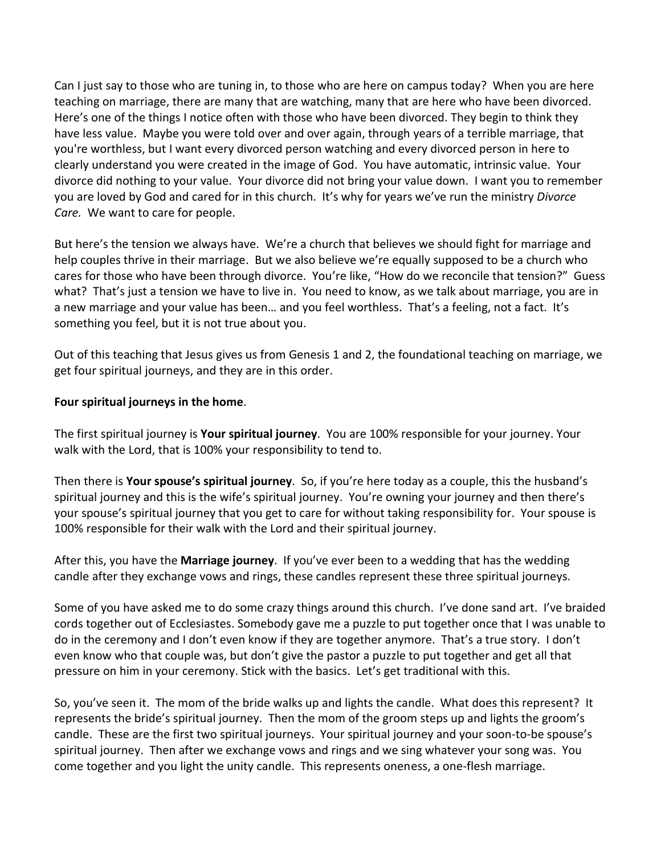Can I just say to those who are tuning in, to those who are here on campus today? When you are here teaching on marriage, there are many that are watching, many that are here who have been divorced. Here's one of the things I notice often with those who have been divorced. They begin to think they have less value. Maybe you were told over and over again, through years of a terrible marriage, that you're worthless, but I want every divorced person watching and every divorced person in here to clearly understand you were created in the image of God. You have automatic, intrinsic value. Your divorce did nothing to your value. Your divorce did not bring your value down. I want you to remember you are loved by God and cared for in this church. It's why for years we've run the ministry *Divorce Care.* We want to care for people.

But here's the tension we always have. We're a church that believes we should fight for marriage and help couples thrive in their marriage. But we also believe we're equally supposed to be a church who cares for those who have been through divorce. You're like, "How do we reconcile that tension?" Guess what? That's just a tension we have to live in. You need to know, as we talk about marriage, you are in a new marriage and your value has been… and you feel worthless. That's a feeling, not a fact. It's something you feel, but it is not true about you.

Out of this teaching that Jesus gives us from Genesis 1 and 2, the foundational teaching on marriage, we get four spiritual journeys, and they are in this order.

## **Four spiritual journeys in the home**.

The first spiritual journey is **Your spiritual journey**. You are 100% responsible for your journey. Your walk with the Lord, that is 100% your responsibility to tend to.

Then there is **Your spouse's spiritual journey**. So, if you're here today as a couple, this the husband's spiritual journey and this is the wife's spiritual journey. You're owning your journey and then there's your spouse's spiritual journey that you get to care for without taking responsibility for. Your spouse is 100% responsible for their walk with the Lord and their spiritual journey.

After this, you have the **Marriage journey**. If you've ever been to a wedding that has the wedding candle after they exchange vows and rings, these candles represent these three spiritual journeys.

Some of you have asked me to do some crazy things around this church. I've done sand art. I've braided cords together out of Ecclesiastes. Somebody gave me a puzzle to put together once that I was unable to do in the ceremony and I don't even know if they are together anymore. That's a true story. I don't even know who that couple was, but don't give the pastor a puzzle to put together and get all that pressure on him in your ceremony. Stick with the basics. Let's get traditional with this.

So, you've seen it. The mom of the bride walks up and lights the candle. What does this represent? It represents the bride's spiritual journey. Then the mom of the groom steps up and lights the groom's candle. These are the first two spiritual journeys. Your spiritual journey and your soon-to-be spouse's spiritual journey. Then after we exchange vows and rings and we sing whatever your song was. You come together and you light the unity candle. This represents oneness, a one-flesh marriage.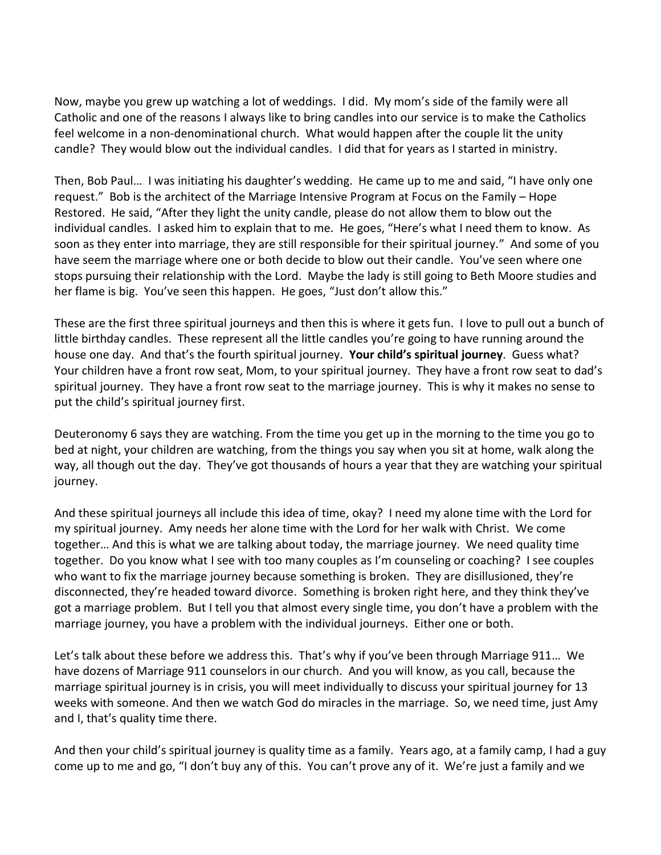Now, maybe you grew up watching a lot of weddings. I did. My mom's side of the family were all Catholic and one of the reasons I always like to bring candles into our service is to make the Catholics feel welcome in a non-denominational church. What would happen after the couple lit the unity candle? They would blow out the individual candles. I did that for years as I started in ministry.

Then, Bob Paul… I was initiating his daughter's wedding. He came up to me and said, "I have only one request." Bob is the architect of the Marriage Intensive Program at Focus on the Family – Hope Restored. He said, "After they light the unity candle, please do not allow them to blow out the individual candles. I asked him to explain that to me. He goes, "Here's what I need them to know. As soon as they enter into marriage, they are still responsible for their spiritual journey." And some of you have seem the marriage where one or both decide to blow out their candle. You've seen where one stops pursuing their relationship with the Lord. Maybe the lady is still going to Beth Moore studies and her flame is big. You've seen this happen. He goes, "Just don't allow this."

These are the first three spiritual journeys and then this is where it gets fun. I love to pull out a bunch of little birthday candles. These represent all the little candles you're going to have running around the house one day. And that's the fourth spiritual journey. **Your child's spiritual journey**. Guess what? Your children have a front row seat, Mom, to your spiritual journey. They have a front row seat to dad's spiritual journey. They have a front row seat to the marriage journey. This is why it makes no sense to put the child's spiritual journey first.

Deuteronomy 6 says they are watching. From the time you get up in the morning to the time you go to bed at night, your children are watching, from the things you say when you sit at home, walk along the way, all though out the day. They've got thousands of hours a year that they are watching your spiritual journey.

And these spiritual journeys all include this idea of time, okay? I need my alone time with the Lord for my spiritual journey. Amy needs her alone time with the Lord for her walk with Christ. We come together… And this is what we are talking about today, the marriage journey. We need quality time together. Do you know what I see with too many couples as I'm counseling or coaching? I see couples who want to fix the marriage journey because something is broken. They are disillusioned, they're disconnected, they're headed toward divorce. Something is broken right here, and they think they've got a marriage problem. But I tell you that almost every single time, you don't have a problem with the marriage journey, you have a problem with the individual journeys. Either one or both.

Let's talk about these before we address this. That's why if you've been through Marriage 911… We have dozens of Marriage 911 counselors in our church. And you will know, as you call, because the marriage spiritual journey is in crisis, you will meet individually to discuss your spiritual journey for 13 weeks with someone. And then we watch God do miracles in the marriage. So, we need time, just Amy and I, that's quality time there.

And then your child's spiritual journey is quality time as a family. Years ago, at a family camp, I had a guy come up to me and go, "I don't buy any of this. You can't prove any of it. We're just a family and we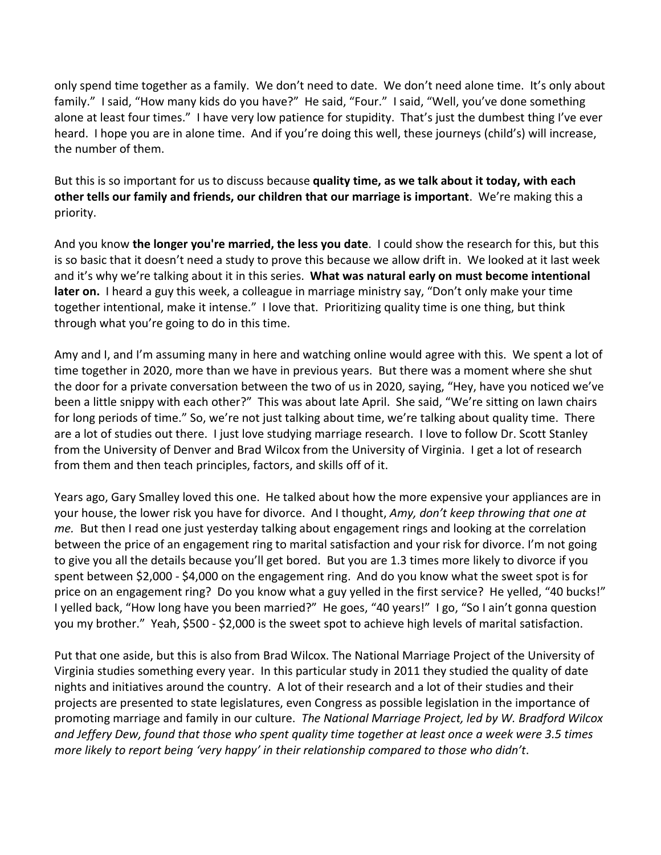only spend time together as a family. We don't need to date. We don't need alone time. It's only about family." I said, "How many kids do you have?" He said, "Four." I said, "Well, you've done something alone at least four times." I have very low patience for stupidity. That's just the dumbest thing I've ever heard. I hope you are in alone time. And if you're doing this well, these journeys (child's) will increase, the number of them.

But this is so important for us to discuss because **quality time, as we talk about it today, with each other tells our family and friends, our children that our marriage is important**. We're making this a priority.

And you know **the longer you're married, the less you date**. I could show the research for this, but this is so basic that it doesn't need a study to prove this because we allow drift in. We looked at it last week and it's why we're talking about it in this series. **What was natural early on must become intentional later on.** I heard a guy this week, a colleague in marriage ministry say, "Don't only make your time together intentional, make it intense." I love that. Prioritizing quality time is one thing, but think through what you're going to do in this time.

Amy and I, and I'm assuming many in here and watching online would agree with this. We spent a lot of time together in 2020, more than we have in previous years. But there was a moment where she shut the door for a private conversation between the two of us in 2020, saying, "Hey, have you noticed we've been a little snippy with each other?" This was about late April. She said, "We're sitting on lawn chairs for long periods of time." So, we're not just talking about time, we're talking about quality time. There are a lot of studies out there. I just love studying marriage research. I love to follow Dr. Scott Stanley from the University of Denver and Brad Wilcox from the University of Virginia. I get a lot of research from them and then teach principles, factors, and skills off of it.

Years ago, Gary Smalley loved this one. He talked about how the more expensive your appliances are in your house, the lower risk you have for divorce. And I thought, *Amy, don't keep throwing that one at me.* But then I read one just yesterday talking about engagement rings and looking at the correlation between the price of an engagement ring to marital satisfaction and your risk for divorce. I'm not going to give you all the details because you'll get bored. But you are 1.3 times more likely to divorce if you spent between \$2,000 - \$4,000 on the engagement ring. And do you know what the sweet spot is for price on an engagement ring? Do you know what a guy yelled in the first service? He yelled, "40 bucks!" I yelled back, "How long have you been married?" He goes, "40 years!" I go, "So I ain't gonna question you my brother." Yeah, \$500 - \$2,000 is the sweet spot to achieve high levels of marital satisfaction.

Put that one aside, but this is also from Brad Wilcox. The National Marriage Project of the University of Virginia studies something every year. In this particular study in 2011 they studied the quality of date nights and initiatives around the country. A lot of their research and a lot of their studies and their projects are presented to state legislatures, even Congress as possible legislation in the importance of promoting marriage and family in our culture. *The National Marriage Project, led by W. Bradford Wilcox and Jeffery Dew, found that those who spent quality time together at least once a week were 3.5 times more likely to report being 'very happy' in their relationship compared to those who didn't*.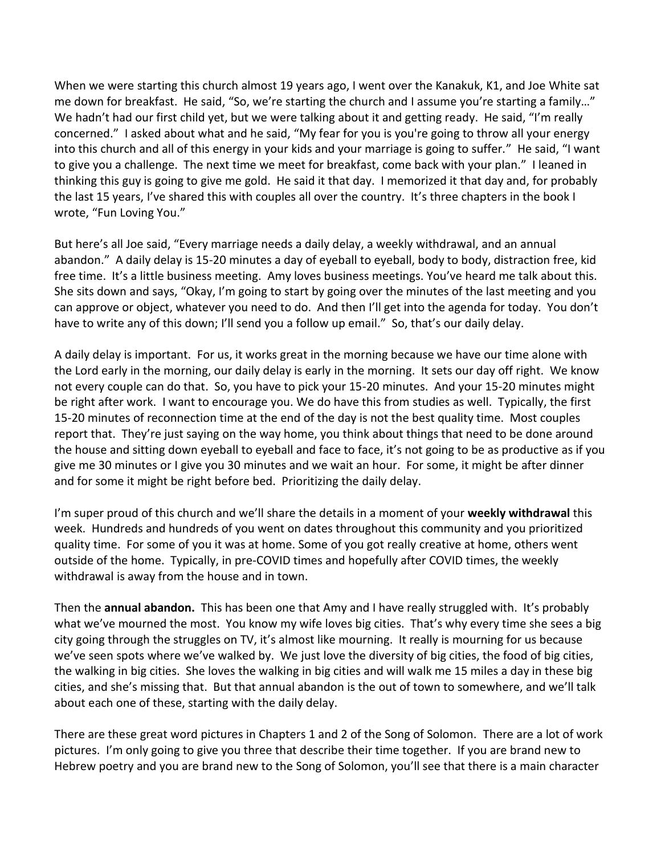When we were starting this church almost 19 years ago, I went over the Kanakuk, K1, and Joe White sat me down for breakfast. He said, "So, we're starting the church and I assume you're starting a family…" We hadn't had our first child yet, but we were talking about it and getting ready. He said, "I'm really concerned." I asked about what and he said, "My fear for you is you're going to throw all your energy into this church and all of this energy in your kids and your marriage is going to suffer." He said, "I want to give you a challenge. The next time we meet for breakfast, come back with your plan." I leaned in thinking this guy is going to give me gold. He said it that day. I memorized it that day and, for probably the last 15 years, I've shared this with couples all over the country. It's three chapters in the book I wrote, "Fun Loving You."

But here's all Joe said, "Every marriage needs a daily delay, a weekly withdrawal, and an annual abandon." A daily delay is 15-20 minutes a day of eyeball to eyeball, body to body, distraction free, kid free time. It's a little business meeting. Amy loves business meetings. You've heard me talk about this. She sits down and says, "Okay, I'm going to start by going over the minutes of the last meeting and you can approve or object, whatever you need to do. And then I'll get into the agenda for today. You don't have to write any of this down; I'll send you a follow up email." So, that's our daily delay.

A daily delay is important. For us, it works great in the morning because we have our time alone with the Lord early in the morning, our daily delay is early in the morning. It sets our day off right. We know not every couple can do that. So, you have to pick your 15-20 minutes. And your 15-20 minutes might be right after work. I want to encourage you. We do have this from studies as well. Typically, the first 15-20 minutes of reconnection time at the end of the day is not the best quality time. Most couples report that. They're just saying on the way home, you think about things that need to be done around the house and sitting down eyeball to eyeball and face to face, it's not going to be as productive as if you give me 30 minutes or I give you 30 minutes and we wait an hour. For some, it might be after dinner and for some it might be right before bed. Prioritizing the daily delay.

I'm super proud of this church and we'll share the details in a moment of your **weekly withdrawal** this week. Hundreds and hundreds of you went on dates throughout this community and you prioritized quality time. For some of you it was at home. Some of you got really creative at home, others went outside of the home. Typically, in pre-COVID times and hopefully after COVID times, the weekly withdrawal is away from the house and in town.

Then the **annual abandon.** This has been one that Amy and I have really struggled with. It's probably what we've mourned the most. You know my wife loves big cities. That's why every time she sees a big city going through the struggles on TV, it's almost like mourning. It really is mourning for us because we've seen spots where we've walked by. We just love the diversity of big cities, the food of big cities, the walking in big cities. She loves the walking in big cities and will walk me 15 miles a day in these big cities, and she's missing that. But that annual abandon is the out of town to somewhere, and we'll talk about each one of these, starting with the daily delay.

There are these great word pictures in Chapters 1 and 2 of the Song of Solomon. There are a lot of work pictures. I'm only going to give you three that describe their time together. If you are brand new to Hebrew poetry and you are brand new to the Song of Solomon, you'll see that there is a main character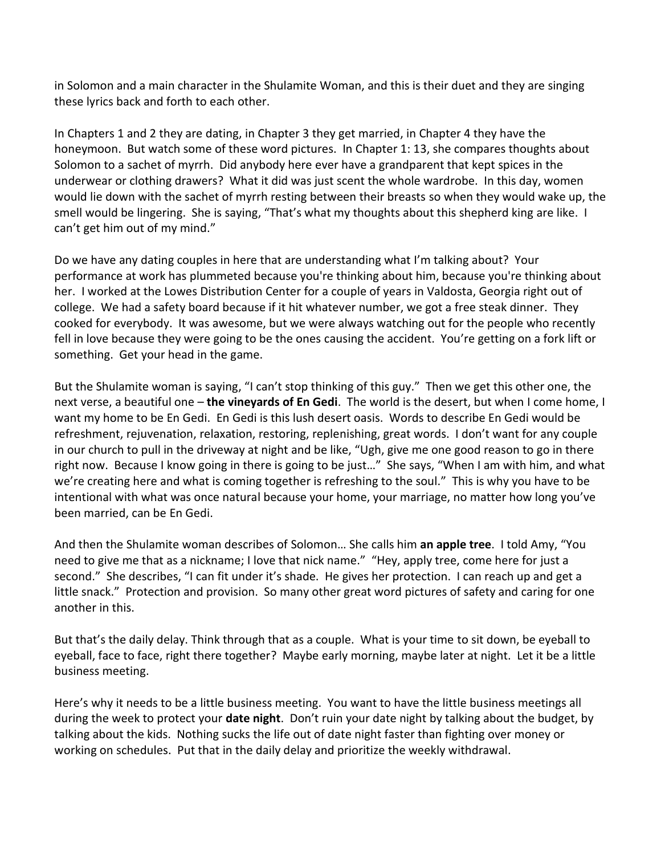in Solomon and a main character in the Shulamite Woman, and this is their duet and they are singing these lyrics back and forth to each other.

In Chapters 1 and 2 they are dating, in Chapter 3 they get married, in Chapter 4 they have the honeymoon. But watch some of these word pictures. In Chapter 1: 13, she compares thoughts about Solomon to a sachet of myrrh. Did anybody here ever have a grandparent that kept spices in the underwear or clothing drawers? What it did was just scent the whole wardrobe. In this day, women would lie down with the sachet of myrrh resting between their breasts so when they would wake up, the smell would be lingering. She is saying, "That's what my thoughts about this shepherd king are like. I can't get him out of my mind."

Do we have any dating couples in here that are understanding what I'm talking about? Your performance at work has plummeted because you're thinking about him, because you're thinking about her. I worked at the Lowes Distribution Center for a couple of years in Valdosta, Georgia right out of college. We had a safety board because if it hit whatever number, we got a free steak dinner. They cooked for everybody. It was awesome, but we were always watching out for the people who recently fell in love because they were going to be the ones causing the accident. You're getting on a fork lift or something. Get your head in the game.

But the Shulamite woman is saying, "I can't stop thinking of this guy." Then we get this other one, the next verse, a beautiful one – **the vineyards of En Gedi**. The world is the desert, but when I come home, I want my home to be En Gedi. En Gedi is this lush desert oasis. Words to describe En Gedi would be refreshment, rejuvenation, relaxation, restoring, replenishing, great words. I don't want for any couple in our church to pull in the driveway at night and be like, "Ugh, give me one good reason to go in there right now. Because I know going in there is going to be just…" She says, "When I am with him, and what we're creating here and what is coming together is refreshing to the soul." This is why you have to be intentional with what was once natural because your home, your marriage, no matter how long you've been married, can be En Gedi.

And then the Shulamite woman describes of Solomon… She calls him **an apple tree**. I told Amy, "You need to give me that as a nickname; I love that nick name." "Hey, apply tree, come here for just a second." She describes, "I can fit under it's shade. He gives her protection. I can reach up and get a little snack." Protection and provision. So many other great word pictures of safety and caring for one another in this.

But that's the daily delay. Think through that as a couple. What is your time to sit down, be eyeball to eyeball, face to face, right there together? Maybe early morning, maybe later at night. Let it be a little business meeting.

Here's why it needs to be a little business meeting. You want to have the little business meetings all during the week to protect your **date night**. Don't ruin your date night by talking about the budget, by talking about the kids. Nothing sucks the life out of date night faster than fighting over money or working on schedules. Put that in the daily delay and prioritize the weekly withdrawal.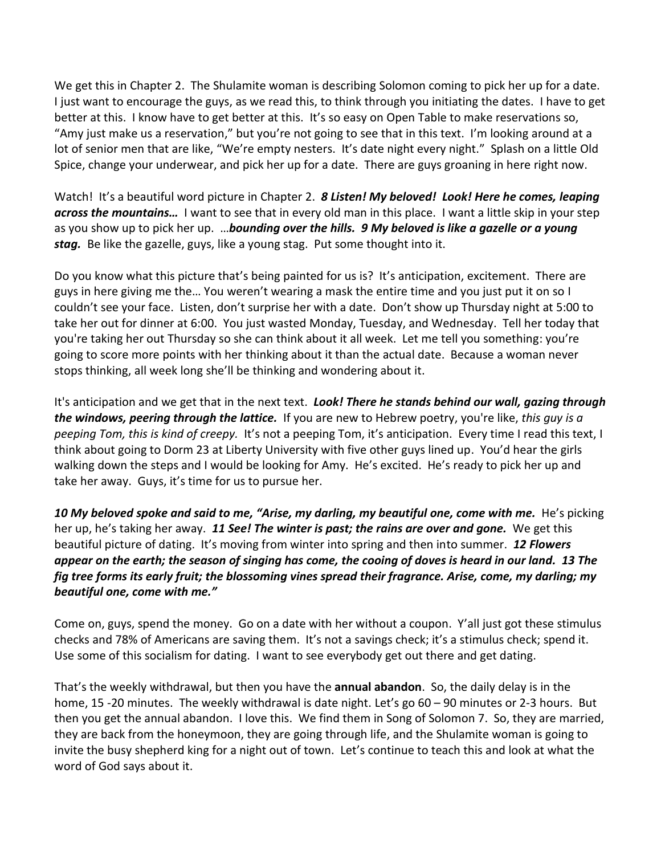We get this in Chapter 2. The Shulamite woman is describing Solomon coming to pick her up for a date. I just want to encourage the guys, as we read this, to think through you initiating the dates. I have to get better at this. I know have to get better at this. It's so easy on Open Table to make reservations so, "Amy just make us a reservation," but you're not going to see that in this text. I'm looking around at a lot of senior men that are like, "We're empty nesters. It's date night every night." Splash on a little Old Spice, change your underwear, and pick her up for a date. There are guys groaning in here right now.

Watch! It's a beautiful word picture in Chapter 2. *8 Listen! My beloved! Look! Here he comes, leaping across the mountains…* I want to see that in every old man in this place. I want a little skip in your step as you show up to pick her up. …*bounding over the hills. 9 My beloved is like a gazelle or a young stag.* Be like the gazelle, guys, like a young stag. Put some thought into it.

Do you know what this picture that's being painted for us is? It's anticipation, excitement. There are guys in here giving me the… You weren't wearing a mask the entire time and you just put it on so I couldn't see your face. Listen, don't surprise her with a date. Don't show up Thursday night at 5:00 to take her out for dinner at 6:00. You just wasted Monday, Tuesday, and Wednesday. Tell her today that you're taking her out Thursday so she can think about it all week. Let me tell you something: you're going to score more points with her thinking about it than the actual date. Because a woman never stops thinking, all week long she'll be thinking and wondering about it.

It's anticipation and we get that in the next text. *Look! There he stands behind our wall, gazing through the windows, peering through the lattice.* If you are new to Hebrew poetry, you're like, *this guy is a peeping Tom, this is kind of creepy.* It's not a peeping Tom, it's anticipation. Every time I read this text, I think about going to Dorm 23 at Liberty University with five other guys lined up. You'd hear the girls walking down the steps and I would be looking for Amy. He's excited. He's ready to pick her up and take her away. Guys, it's time for us to pursue her.

*10 My beloved spoke and said to me, "Arise, my darling, my beautiful one, come with me.* He's picking her up, he's taking her away. *11 See! The winter is past; the rains are over and gone.* We get this beautiful picture of dating. It's moving from winter into spring and then into summer. *12 Flowers appear on the earth; the season of singing has come, the cooing of doves is heard in our land. 13 The fig tree forms its early fruit; the blossoming vines spread their fragrance. Arise, come, my darling; my beautiful one, come with me."*

Come on, guys, spend the money. Go on a date with her without a coupon. Y'all just got these stimulus checks and 78% of Americans are saving them. It's not a savings check; it's a stimulus check; spend it. Use some of this socialism for dating. I want to see everybody get out there and get dating.

That's the weekly withdrawal, but then you have the **annual abandon**. So, the daily delay is in the home, 15 -20 minutes. The weekly withdrawal is date night. Let's go 60 – 90 minutes or 2-3 hours. But then you get the annual abandon. I love this. We find them in Song of Solomon 7. So, they are married, they are back from the honeymoon, they are going through life, and the Shulamite woman is going to invite the busy shepherd king for a night out of town. Let's continue to teach this and look at what the word of God says about it.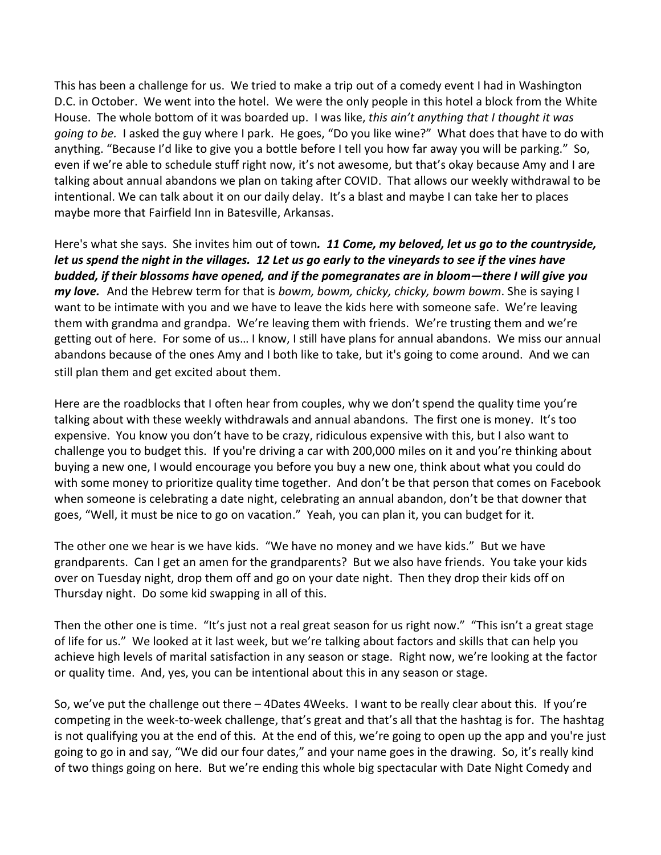This has been a challenge for us. We tried to make a trip out of a comedy event I had in Washington D.C. in October. We went into the hotel. We were the only people in this hotel a block from the White House. The whole bottom of it was boarded up. I was like, *this ain't anything that I thought it was going to be.* I asked the guy where I park. He goes, "Do you like wine?" What does that have to do with anything. "Because I'd like to give you a bottle before I tell you how far away you will be parking." So, even if we're able to schedule stuff right now, it's not awesome, but that's okay because Amy and I are talking about annual abandons we plan on taking after COVID. That allows our weekly withdrawal to be intentional. We can talk about it on our daily delay. It's a blast and maybe I can take her to places maybe more that Fairfield Inn in Batesville, Arkansas.

Here's what she says. She invites him out of town*. 11 Come, my beloved, let us go to the countryside, let us spend the night in the villages. 12 Let us go early to the vineyards to see if the vines have budded, if their blossoms have opened, and if the pomegranates are in bloom—there I will give you my love.* And the Hebrew term for that is *bowm, bowm, chicky, chicky, bowm bowm*. She is saying I want to be intimate with you and we have to leave the kids here with someone safe. We're leaving them with grandma and grandpa. We're leaving them with friends. We're trusting them and we're getting out of here. For some of us… I know, I still have plans for annual abandons. We miss our annual abandons because of the ones Amy and I both like to take, but it's going to come around. And we can still plan them and get excited about them.

Here are the roadblocks that I often hear from couples, why we don't spend the quality time you're talking about with these weekly withdrawals and annual abandons. The first one is money. It's too expensive. You know you don't have to be crazy, ridiculous expensive with this, but I also want to challenge you to budget this. If you're driving a car with 200,000 miles on it and you're thinking about buying a new one, I would encourage you before you buy a new one, think about what you could do with some money to prioritize quality time together. And don't be that person that comes on Facebook when someone is celebrating a date night, celebrating an annual abandon, don't be that downer that goes, "Well, it must be nice to go on vacation." Yeah, you can plan it, you can budget for it.

The other one we hear is we have kids. "We have no money and we have kids." But we have grandparents. Can I get an amen for the grandparents? But we also have friends. You take your kids over on Tuesday night, drop them off and go on your date night. Then they drop their kids off on Thursday night. Do some kid swapping in all of this.

Then the other one is time. "It's just not a real great season for us right now." "This isn't a great stage of life for us." We looked at it last week, but we're talking about factors and skills that can help you achieve high levels of marital satisfaction in any season or stage. Right now, we're looking at the factor or quality time. And, yes, you can be intentional about this in any season or stage.

So, we've put the challenge out there – 4Dates 4Weeks. I want to be really clear about this. If you're competing in the week-to-week challenge, that's great and that's all that the hashtag is for. The hashtag is not qualifying you at the end of this. At the end of this, we're going to open up the app and you're just going to go in and say, "We did our four dates," and your name goes in the drawing. So, it's really kind of two things going on here. But we're ending this whole big spectacular with Date Night Comedy and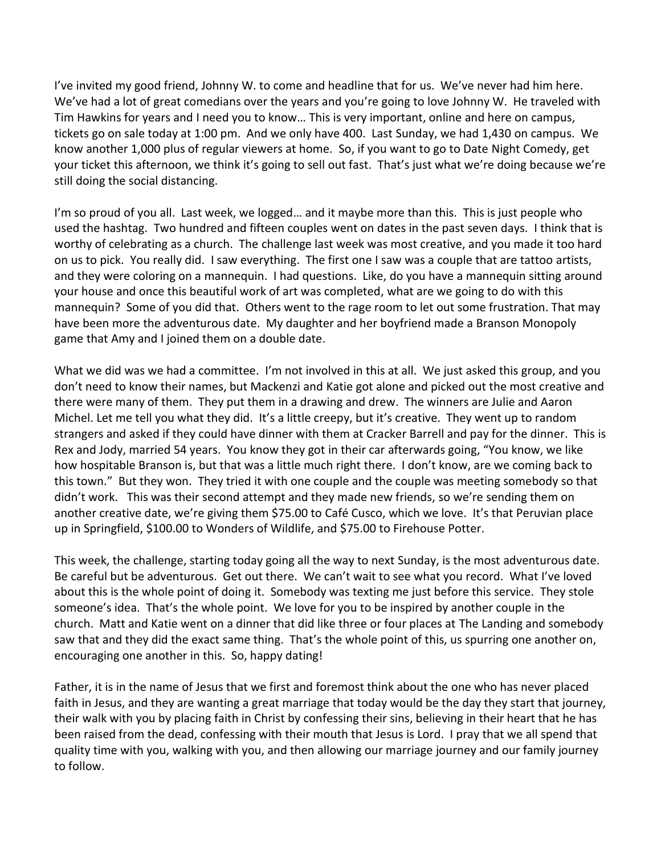I've invited my good friend, Johnny W. to come and headline that for us. We've never had him here. We've had a lot of great comedians over the years and you're going to love Johnny W. He traveled with Tim Hawkins for years and I need you to know… This is very important, online and here on campus, tickets go on sale today at 1:00 pm. And we only have 400. Last Sunday, we had 1,430 on campus. We know another 1,000 plus of regular viewers at home. So, if you want to go to Date Night Comedy, get your ticket this afternoon, we think it's going to sell out fast. That's just what we're doing because we're still doing the social distancing.

I'm so proud of you all. Last week, we logged... and it maybe more than this. This is just people who used the hashtag. Two hundred and fifteen couples went on dates in the past seven days. I think that is worthy of celebrating as a church. The challenge last week was most creative, and you made it too hard on us to pick. You really did. I saw everything. The first one I saw was a couple that are tattoo artists, and they were coloring on a mannequin. I had questions. Like, do you have a mannequin sitting around your house and once this beautiful work of art was completed, what are we going to do with this mannequin? Some of you did that. Others went to the rage room to let out some frustration. That may have been more the adventurous date. My daughter and her boyfriend made a Branson Monopoly game that Amy and I joined them on a double date.

What we did was we had a committee. I'm not involved in this at all. We just asked this group, and you don't need to know their names, but Mackenzi and Katie got alone and picked out the most creative and there were many of them. They put them in a drawing and drew. The winners are Julie and Aaron Michel. Let me tell you what they did. It's a little creepy, but it's creative. They went up to random strangers and asked if they could have dinner with them at Cracker Barrell and pay for the dinner. This is Rex and Jody, married 54 years. You know they got in their car afterwards going, "You know, we like how hospitable Branson is, but that was a little much right there. I don't know, are we coming back to this town." But they won. They tried it with one couple and the couple was meeting somebody so that didn't work. This was their second attempt and they made new friends, so we're sending them on another creative date, we're giving them \$75.00 to Café Cusco, which we love. It's that Peruvian place up in Springfield, \$100.00 to Wonders of Wildlife, and \$75.00 to Firehouse Potter.

This week, the challenge, starting today going all the way to next Sunday, is the most adventurous date. Be careful but be adventurous. Get out there. We can't wait to see what you record. What I've loved about this is the whole point of doing it. Somebody was texting me just before this service. They stole someone's idea. That's the whole point. We love for you to be inspired by another couple in the church. Matt and Katie went on a dinner that did like three or four places at The Landing and somebody saw that and they did the exact same thing. That's the whole point of this, us spurring one another on, encouraging one another in this. So, happy dating!

Father, it is in the name of Jesus that we first and foremost think about the one who has never placed faith in Jesus, and they are wanting a great marriage that today would be the day they start that journey, their walk with you by placing faith in Christ by confessing their sins, believing in their heart that he has been raised from the dead, confessing with their mouth that Jesus is Lord. I pray that we all spend that quality time with you, walking with you, and then allowing our marriage journey and our family journey to follow.